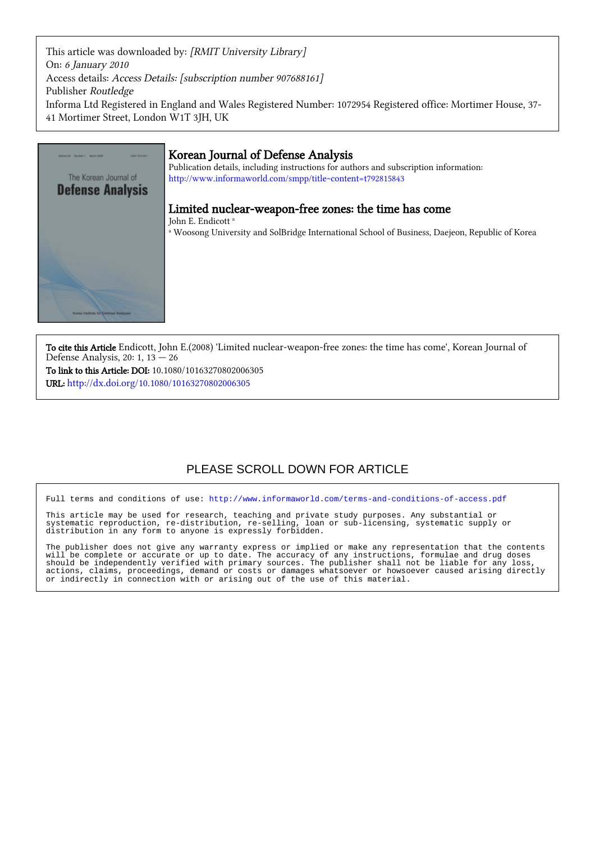This article was downloaded by: [RMIT University Library] On: 6 January 2010 Access details: Access Details: [subscription number 907688161] Publisher Routledge Informa Ltd Registered in England and Wales Registered Number: 1072954 Registered office: Mortimer House, 37- 41 Mortimer Street, London W1T 3JH, UK



To cite this Article Endicott, John E.(2008) 'Limited nuclear-weapon-free zones: the time has come', Korean Journal of Defense Analysis, 20: 1, 13 — 26

To link to this Article: DOI: 10.1080/10163270802006305 URL: <http://dx.doi.org/10.1080/10163270802006305>

## PLEASE SCROLL DOWN FOR ARTICLE

Full terms and conditions of use:<http://www.informaworld.com/terms-and-conditions-of-access.pdf>

This article may be used for research, teaching and private study purposes. Any substantial or systematic reproduction, re-distribution, re-selling, loan or sub-licensing, systematic supply or distribution in any form to anyone is expressly forbidden.

The publisher does not give any warranty express or implied or make any representation that the contents will be complete or accurate or up to date. The accuracy of any instructions, formulae and drug doses should be independently verified with primary sources. The publisher shall not be liable for any loss, actions, claims, proceedings, demand or costs or damages whatsoever or howsoever caused arising directly or indirectly in connection with or arising out of the use of this material.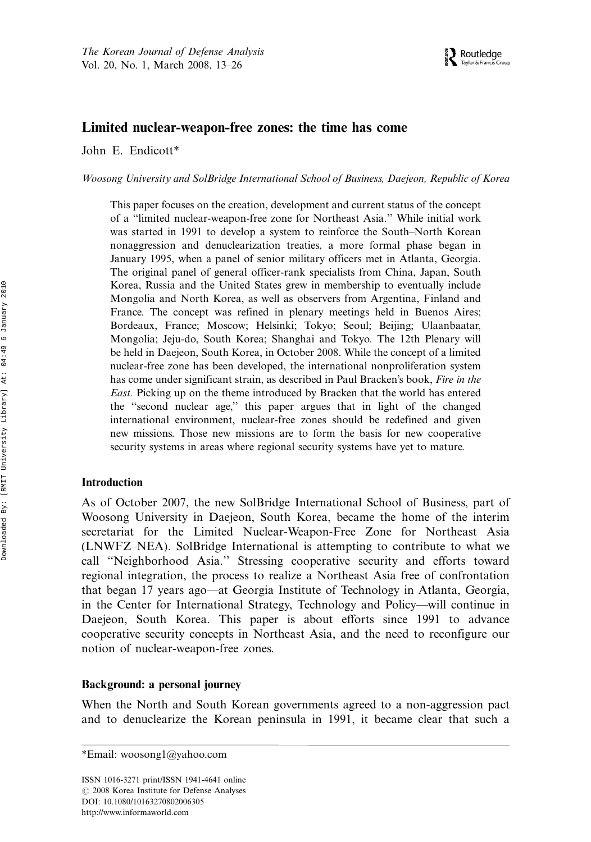## Limited nuclear-weapon-free zones: the time has come

John E. Endicott\*

Woosong University and SolBridge International School of Business, Daejeon, Republic of Korea

This paper focuses on the creation, development and current status of the concept of a ''limited nuclear-weapon-free zone for Northeast Asia.'' While initial work was started in 1991 to develop a system to reinforce the South–North Korean nonaggression and denuclearization treaties, a more formal phase began in January 1995, when a panel of senior military officers met in Atlanta, Georgia. The original panel of general officer-rank specialists from China, Japan, South Korea, Russia and the United States grew in membership to eventually include Mongolia and North Korea, as well as observers from Argentina, Finland and France. The concept was refined in plenary meetings held in Buenos Aires; Bordeaux, France; Moscow; Helsinki; Tokyo; Seoul; Beijing; Ulaanbaatar, Mongolia; Jeju-do, South Korea; Shanghai and Tokyo. The 12th Plenary will be held in Daejeon, South Korea, in October 2008. While the concept of a limited nuclear-free zone has been developed, the international nonproliferation system has come under significant strain, as described in Paul Bracken's book, Fire in the East. Picking up on the theme introduced by Bracken that the world has entered the ''second nuclear age,'' this paper argues that in light of the changed international environment, nuclear-free zones should be redefined and given new missions. Those new missions are to form the basis for new cooperative security systems in areas where regional security systems have yet to mature.

### Introduction

As of October 2007, the new SolBridge International School of Business, part of Woosong University in Daejeon, South Korea, became the home of the interim secretariat for the Limited Nuclear-Weapon-Free Zone for Northeast Asia (LNWFZ–NEA). SolBridge International is attempting to contribute to what we call ''Neighborhood Asia.'' Stressing cooperative security and efforts toward regional integration, the process to realize a Northeast Asia free of confrontation that began 17 years ago—at Georgia Institute of Technology in Atlanta, Georgia, in the Center for International Strategy, Technology and Policy—will continue in Daejeon, South Korea. This paper is about efforts since 1991 to advance cooperative security concepts in Northeast Asia, and the need to reconfigure our notion of nuclear-weapon-free zones.

#### Background: a personal journey

When the North and South Korean governments agreed to a non-aggression pact and to denuclearize the Korean peninsula in 1991, it became clear that such a

<sup>\*</sup>Email: woosong1@yahoo.com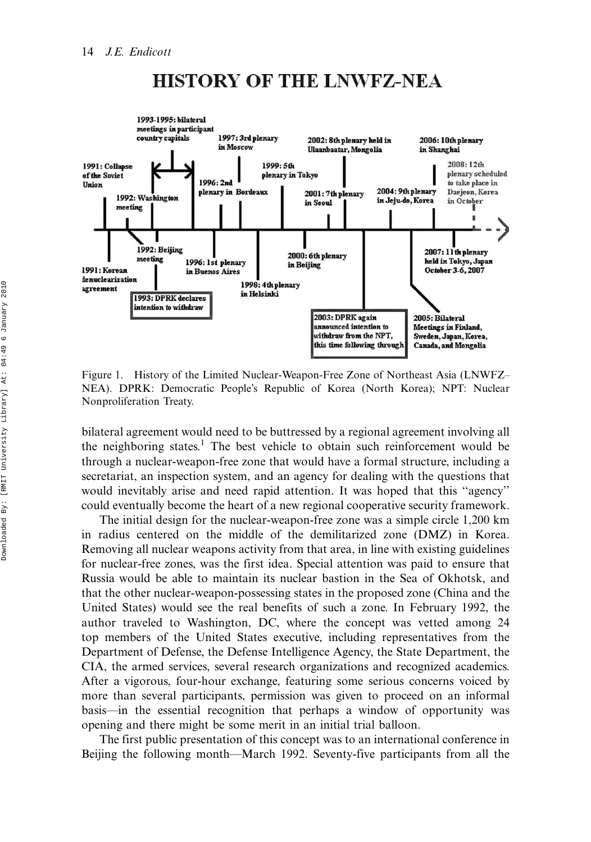

# **HISTORY OF THE LNWFZ-NEA**

Figure 1. History of the Limited Nuclear-Weapon-Free Zone of Northeast Asia (LNWFZ NEA). DPRK: Democratic People's Republic of Korea (North Korea); NPT: Nuclear Nonproliferation Treaty.

bilateral agreement would need to be buttressed by a regional agreement involving all the neighboring states.<sup>1</sup> The best vehicle to obtain such reinforcement would be through a nuclear-weapon-free zone that would have a formal structure, including a secretariat, an inspection system, and an agency for dealing with the questions that would inevitably arise and need rapid attention. It was hoped that this ''agency'' could eventually become the heart of a new regional cooperative security framework.

The initial design for the nuclear-weapon-free zone was a simple circle 1,200 km in radius centered on the middle of the demilitarized zone (DMZ) in Korea. Removing all nuclear weapons activity from that area, in line with existing guidelines for nuclear-free zones, was the first idea. Special attention was paid to ensure that Russia would be able to maintain its nuclear bastion in the Sea of Okhotsk, and that the other nuclear-weapon-possessing states in the proposed zone (China and the United States) would see the real benefits of such a zone. In February 1992, the author traveled to Washington, DC, where the concept was vetted among 24 top members of the United States executive, including representatives from the Department of Defense, the Defense Intelligence Agency, the State Department, the CIA, the armed services, several research organizations and recognized academics. After a vigorous, four-hour exchange, featuring some serious concerns voiced by more than several participants, permission was given to proceed on an informal basis—in the essential recognition that perhaps a window of opportunity was opening and there might be some merit in an initial trial balloon.

The first public presentation of this concept was to an international conference in Beijing the following month—March 1992. Seventy-five participants from all the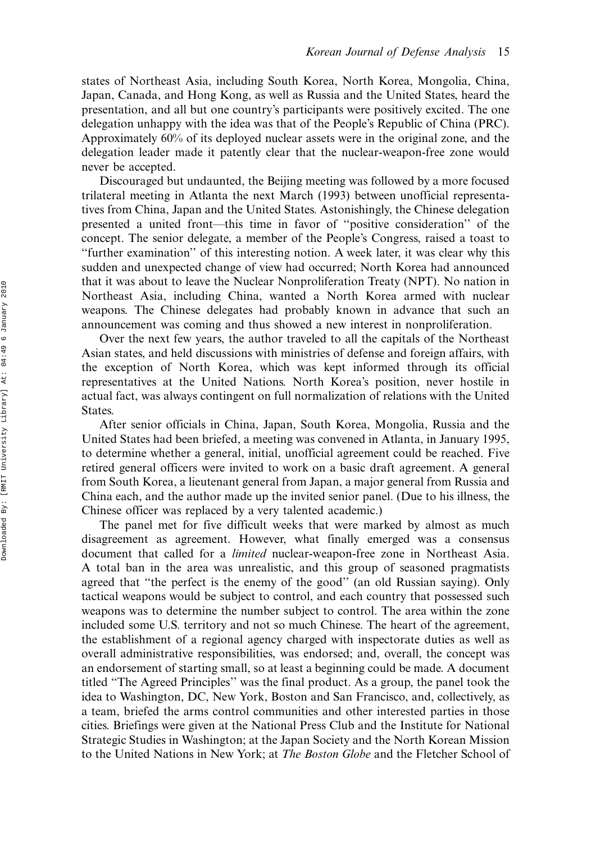states of Northeast Asia, including South Korea, North Korea, Mongolia, China, Japan, Canada, and Hong Kong, as well as Russia and the United States, heard the presentation, and all but one country's participants were positively excited. The one delegation unhappy with the idea was that of the People's Republic of China (PRC). Approximately 60% of its deployed nuclear assets were in the original zone, and the delegation leader made it patently clear that the nuclear-weapon-free zone would never be accepted.

Discouraged but undaunted, the Beijing meeting was followed by a more focused trilateral meeting in Atlanta the next March (1993) between unofficial representatives from China, Japan and the United States. Astonishingly, the Chinese delegation presented a united front-this time in favor of "positive consideration" of the concept. The senior delegate, a member of the People's Congress, raised a toast to ''further examination'' of this interesting notion. A week later, it was clear why this sudden and unexpected change of view had occurred; North Korea had announced that it was about to leave the Nuclear Nonproliferation Treaty (NPT). No nation in Northeast Asia, including China, wanted a North Korea armed with nuclear weapons. The Chinese delegates had probably known in advance that such an announcement was coming and thus showed a new interest in nonproliferation.

Over the next few years, the author traveled to all the capitals of the Northeast Asian states, and held discussions with ministries of defense and foreign affairs, with the exception of North Korea, which was kept informed through its official representatives at the United Nations. North Korea's position, never hostile in actual fact, was always contingent on full normalization of relations with the United States.

After senior officials in China, Japan, South Korea, Mongolia, Russia and the United States had been briefed, a meeting was convened in Atlanta, in January 1995, to determine whether a general, initial, unofficial agreement could be reached. Five retired general officers were invited to work on a basic draft agreement. A general from South Korea, a lieutenant general from Japan, a major general from Russia and China each, and the author made up the invited senior panel. (Due to his illness, the Chinese officer was replaced by a very talented academic.)

The panel met for five difficult weeks that were marked by almost as much disagreement as agreement. However, what finally emerged was a consensus document that called for a limited nuclear-weapon-free zone in Northeast Asia. A total ban in the area was unrealistic, and this group of seasoned pragmatists agreed that ''the perfect is the enemy of the good'' (an old Russian saying). Only tactical weapons would be subject to control, and each country that possessed such weapons was to determine the number subject to control. The area within the zone included some U.S. territory and not so much Chinese. The heart of the agreement, the establishment of a regional agency charged with inspectorate duties as well as overall administrative responsibilities, was endorsed; and, overall, the concept was an endorsement of starting small, so at least a beginning could be made. A document titled ''The Agreed Principles'' was the final product. As a group, the panel took the idea to Washington, DC, New York, Boston and San Francisco, and, collectively, as a team, briefed the arms control communities and other interested parties in those cities. Briefings were given at the National Press Club and the Institute for National Strategic Studies in Washington; at the Japan Society and the North Korean Mission to the United Nations in New York; at The Boston Globe and the Fletcher School of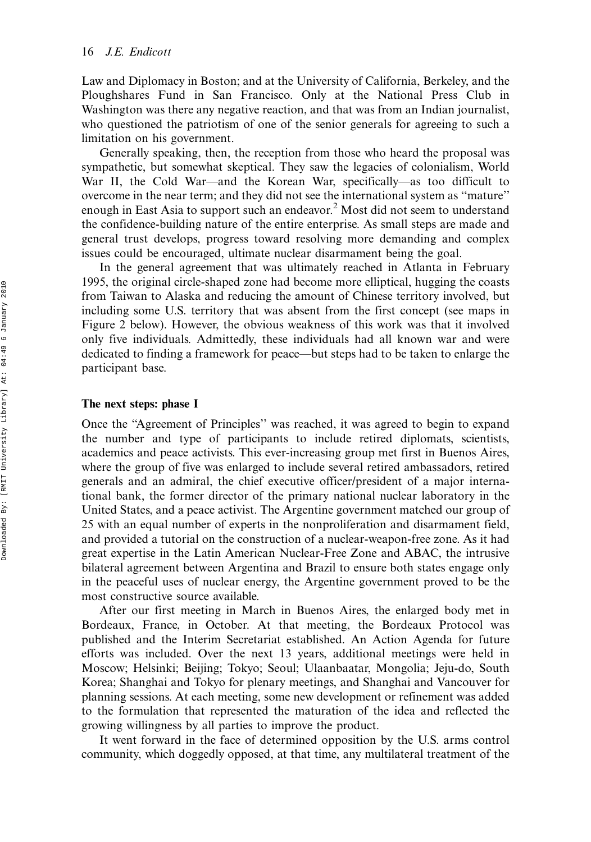Law and Diplomacy in Boston; and at the University of California, Berkeley, and the Ploughshares Fund in San Francisco. Only at the National Press Club in Washington was there any negative reaction, and that was from an Indian journalist, who questioned the patriotism of one of the senior generals for agreeing to such a limitation on his government.

Generally speaking, then, the reception from those who heard the proposal was sympathetic, but somewhat skeptical. They saw the legacies of colonialism, World War II, the Cold War—and the Korean War, specifically—as too difficult to overcome in the near term; and they did not see the international system as ''mature'' enough in East Asia to support such an endeavor.<sup>2</sup> Most did not seem to understand the confidence-building nature of the entire enterprise. As small steps are made and general trust develops, progress toward resolving more demanding and complex issues could be encouraged, ultimate nuclear disarmament being the goal.

In the general agreement that was ultimately reached in Atlanta in February 1995, the original circle-shaped zone had become more elliptical, hugging the coasts from Taiwan to Alaska and reducing the amount of Chinese territory involved, but including some U.S. territory that was absent from the first concept (see maps in Figure 2 below). However, the obvious weakness of this work was that it involved only five individuals. Admittedly, these individuals had all known war and were dedicated to finding a framework for peace—but steps had to be taken to enlarge the participant base.

#### The next steps: phase I

Once the ''Agreement of Principles'' was reached, it was agreed to begin to expand the number and type of participants to include retired diplomats, scientists, academics and peace activists. This ever-increasing group met first in Buenos Aires, where the group of five was enlarged to include several retired ambassadors, retired generals and an admiral, the chief executive officer/president of a major international bank, the former director of the primary national nuclear laboratory in the United States, and a peace activist. The Argentine government matched our group of 25 with an equal number of experts in the nonproliferation and disarmament field, and provided a tutorial on the construction of a nuclear-weapon-free zone. As it had great expertise in the Latin American Nuclear-Free Zone and ABAC, the intrusive bilateral agreement between Argentina and Brazil to ensure both states engage only in the peaceful uses of nuclear energy, the Argentine government proved to be the most constructive source available.

After our first meeting in March in Buenos Aires, the enlarged body met in Bordeaux, France, in October. At that meeting, the Bordeaux Protocol was published and the Interim Secretariat established. An Action Agenda for future efforts was included. Over the next 13 years, additional meetings were held in Moscow; Helsinki; Beijing; Tokyo; Seoul; Ulaanbaatar, Mongolia; Jeju-do, South Korea; Shanghai and Tokyo for plenary meetings, and Shanghai and Vancouver for planning sessions. At each meeting, some new development or refinement was added to the formulation that represented the maturation of the idea and reflected the growing willingness by all parties to improve the product.

It went forward in the face of determined opposition by the U.S. arms control community, which doggedly opposed, at that time, any multilateral treatment of the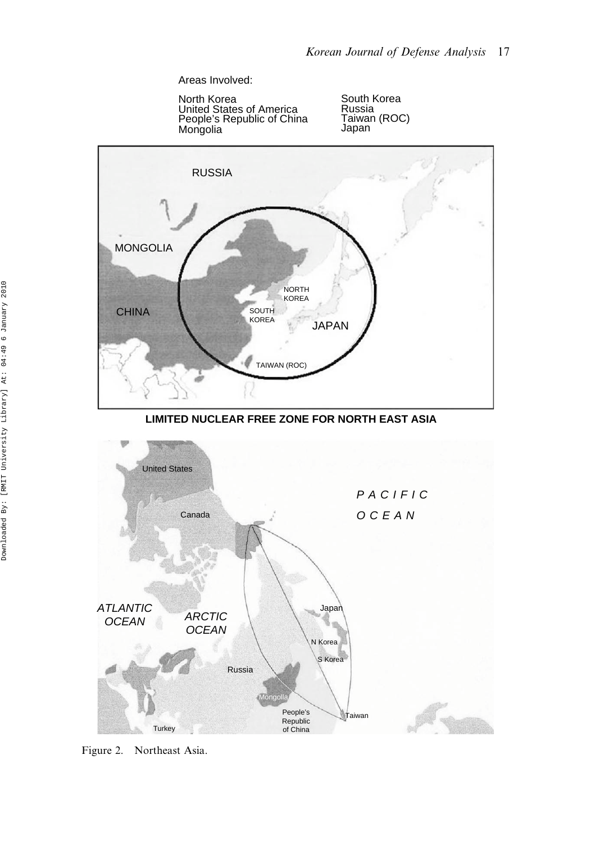

Figure 2. Northeast Asia.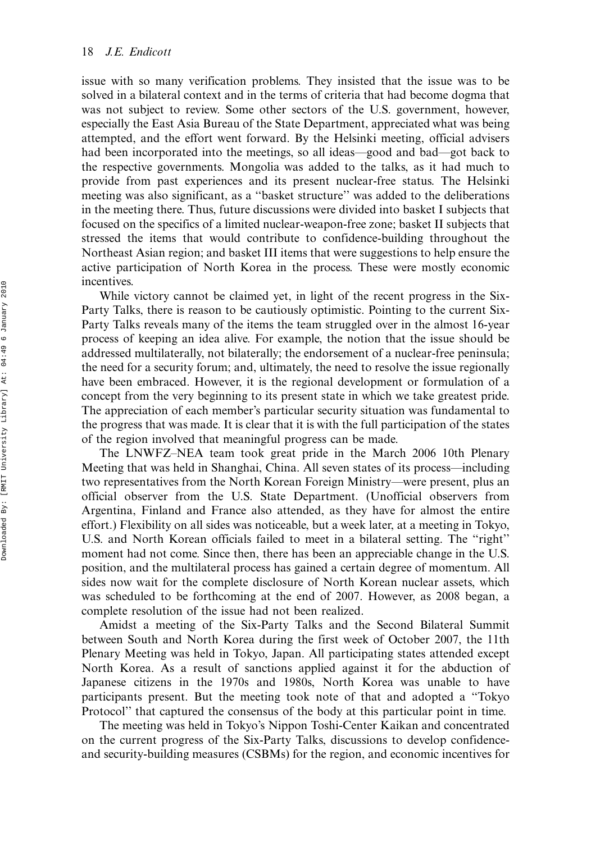issue with so many verification problems. They insisted that the issue was to be solved in a bilateral context and in the terms of criteria that had become dogma that was not subject to review. Some other sectors of the U.S. government, however, especially the East Asia Bureau of the State Department, appreciated what was being attempted, and the effort went forward. By the Helsinki meeting, official advisers had been incorporated into the meetings, so all ideas—good and bad—got back to the respective governments. Mongolia was added to the talks, as it had much to provide from past experiences and its present nuclear-free status. The Helsinki meeting was also significant, as a ''basket structure'' was added to the deliberations in the meeting there. Thus, future discussions were divided into basket I subjects that focused on the specifics of a limited nuclear-weapon-free zone; basket II subjects that stressed the items that would contribute to confidence-building throughout the Northeast Asian region; and basket III items that were suggestions to help ensure the active participation of North Korea in the process. These were mostly economic incentives.

While victory cannot be claimed yet, in light of the recent progress in the Six-Party Talks, there is reason to be cautiously optimistic. Pointing to the current Six-Party Talks reveals many of the items the team struggled over in the almost 16-year process of keeping an idea alive. For example, the notion that the issue should be addressed multilaterally, not bilaterally; the endorsement of a nuclear-free peninsula; the need for a security forum; and, ultimately, the need to resolve the issue regionally have been embraced. However, it is the regional development or formulation of a concept from the very beginning to its present state in which we take greatest pride. The appreciation of each member's particular security situation was fundamental to the progress that was made. It is clear that it is with the full participation of the states of the region involved that meaningful progress can be made.

The LNWFZ-NEA team took great pride in the March 2006 10th Plenary Meeting that was held in Shanghai, China. All seven states of its process-including two representatives from the North Korean Foreign Ministry—were present, plus an official observer from the U.S. State Department. (Unofficial observers from Argentina, Finland and France also attended, as they have for almost the entire effort.) Flexibility on all sides was noticeable, but a week later, at a meeting in Tokyo, U.S. and North Korean officials failed to meet in a bilateral setting. The ''right'' moment had not come. Since then, there has been an appreciable change in the U.S. position, and the multilateral process has gained a certain degree of momentum. All sides now wait for the complete disclosure of North Korean nuclear assets, which was scheduled to be forthcoming at the end of 2007. However, as 2008 began, a complete resolution of the issue had not been realized.

Amidst a meeting of the Six-Party Talks and the Second Bilateral Summit between South and North Korea during the first week of October 2007, the 11th Plenary Meeting was held in Tokyo, Japan. All participating states attended except North Korea. As a result of sanctions applied against it for the abduction of Japanese citizens in the 1970s and 1980s, North Korea was unable to have participants present. But the meeting took note of that and adopted a ''Tokyo Protocol'' that captured the consensus of the body at this particular point in time.

The meeting was held in Tokyo's Nippon Toshi-Center Kaikan and concentrated on the current progress of the Six-Party Talks, discussions to develop confidenceand security-building measures (CSBMs) for the region, and economic incentives for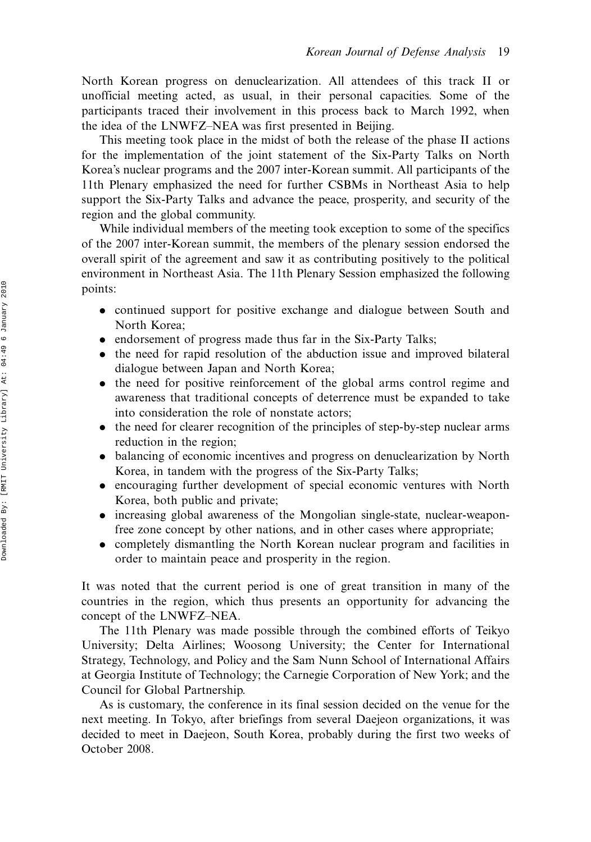North Korean progress on denuclearization. All attendees of this track II or unofficial meeting acted, as usual, in their personal capacities. Some of the participants traced their involvement in this process back to March 1992, when the idea of the LNWFZ–NEA was first presented in Beijing.

This meeting took place in the midst of both the release of the phase II actions for the implementation of the joint statement of the Six-Party Talks on North Korea's nuclear programs and the 2007 inter-Korean summit. All participants of the 11th Plenary emphasized the need for further CSBMs in Northeast Asia to help support the Six-Party Talks and advance the peace, prosperity, and security of the region and the global community.

While individual members of the meeting took exception to some of the specifics of the 2007 inter-Korean summit, the members of the plenary session endorsed the overall spirit of the agreement and saw it as contributing positively to the political environment in Northeast Asia. The 11th Plenary Session emphasized the following points:

- . continued support for positive exchange and dialogue between South and North Korea;
- . endorsement of progress made thus far in the Six-Party Talks;
- . the need for rapid resolution of the abduction issue and improved bilateral dialogue between Japan and North Korea;
- . the need for positive reinforcement of the global arms control regime and awareness that traditional concepts of deterrence must be expanded to take into consideration the role of nonstate actors;
- . the need for clearer recognition of the principles of step-by-step nuclear arms reduction in the region;
- . balancing of economic incentives and progress on denuclearization by North Korea, in tandem with the progress of the Six-Party Talks;
- . encouraging further development of special economic ventures with North Korea, both public and private;
- . increasing global awareness of the Mongolian single-state, nuclear-weaponfree zone concept by other nations, and in other cases where appropriate;
- . completely dismantling the North Korean nuclear program and facilities in order to maintain peace and prosperity in the region.

It was noted that the current period is one of great transition in many of the countries in the region, which thus presents an opportunity for advancing the concept of the LNWFZ-NEA.

The 11th Plenary was made possible through the combined efforts of Teikyo University; Delta Airlines; Woosong University; the Center for International Strategy, Technology, and Policy and the Sam Nunn School of International Affairs at Georgia Institute of Technology; the Carnegie Corporation of New York; and the Council for Global Partnership.

As is customary, the conference in its final session decided on the venue for the next meeting. In Tokyo, after briefings from several Daejeon organizations, it was decided to meet in Daejeon, South Korea, probably during the first two weeks of October 2008.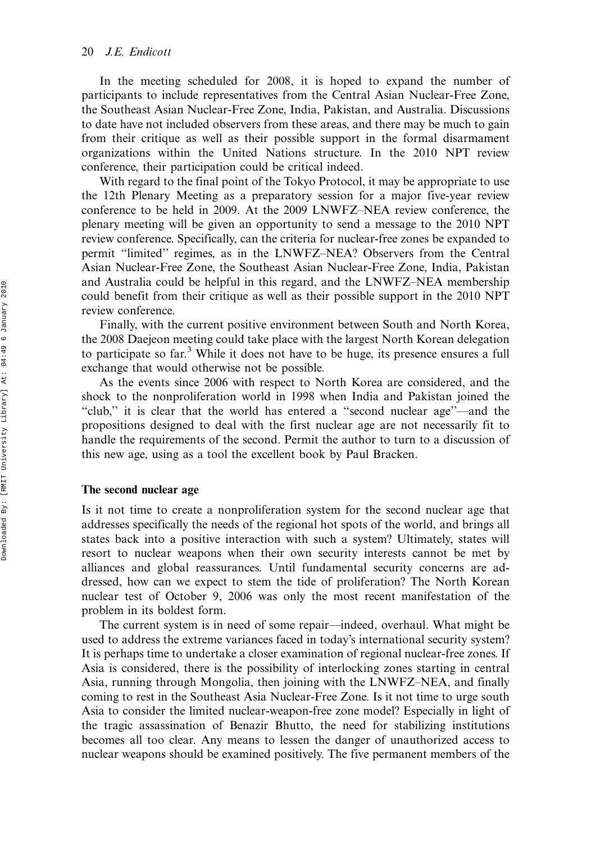In the meeting scheduled for 2008, it is hoped to expand the number of participants to include representatives from the Central Asian Nuclear-Free Zone, the Southeast Asian Nuclear-Free Zone, India, Pakistan, and Australia. Discussions to date have not included observers from these areas, and there may be much to gain from their critique as well as their possible support in the formal disarmament organizations within the United Nations structure. In the 2010 NPT review conference, their participation could be critical indeed.

With regard to the final point of the Tokyo Protocol, it may be appropriate to use the 12th Plenary Meeting as a preparatory session for a major five-year review conference to be held in 2009. At the 2009 LNWFZ-NEA review conference, the plenary meeting will be given an opportunity to send a message to the 2010 NPT review conference. Specifically, can the criteria for nuclear-free zones be expanded to permit "limited" regimes, as in the LNWFZ-NEA? Observers from the Central Asian Nuclear-Free Zone, the Southeast Asian Nuclear-Free Zone, India, Pakistan and Australia could be helpful in this regard, and the LNWFZ–NEA membership could benefit from their critique as well as their possible support in the 2010 NPT review conference.

Finally, with the current positive environment between South and North Korea, the 2008 Daejeon meeting could take place with the largest North Korean delegation to participate so far.<sup>3</sup> While it does not have to be huge, its presence ensures a full exchange that would otherwise not be possible.

As the events since 2006 with respect to North Korea are considered, and the shock to the nonproliferation world in 1998 when India and Pakistan joined the "club," it is clear that the world has entered a "second nuclear age"—and the propositions designed to deal with the first nuclear age are not necessarily fit to handle the requirements of the second. Permit the author to turn to a discussion of this new age, using as a tool the excellent book by Paul Bracken.

#### The second nuclear age

Is it not time to create a nonproliferation system for the second nuclear age that addresses specifically the needs of the regional hot spots of the world, and brings all states back into a positive interaction with such a system? Ultimately, states will resort to nuclear weapons when their own security interests cannot be met by alliances and global reassurances. Until fundamental security concerns are addressed, how can we expect to stem the tide of proliferation? The North Korean nuclear test of October 9, 2006 was only the most recent manifestation of the problem in its boldest form.

The current system is in need of some repair—indeed, overhaul. What might be used to address the extreme variances faced in today's international security system? It is perhaps time to undertake a closer examination of regional nuclear-free zones. If Asia is considered, there is the possibility of interlocking zones starting in central Asia, running through Mongolia, then joining with the LNWFZ-NEA, and finally coming to rest in the Southeast Asia Nuclear-Free Zone. Is it not time to urge south Asia to consider the limited nuclear-weapon-free zone model? Especially in light of the tragic assassination of Benazir Bhutto, the need for stabilizing institutions becomes all too clear. Any means to lessen the danger of unauthorized access to nuclear weapons should be examined positively. The five permanent members of the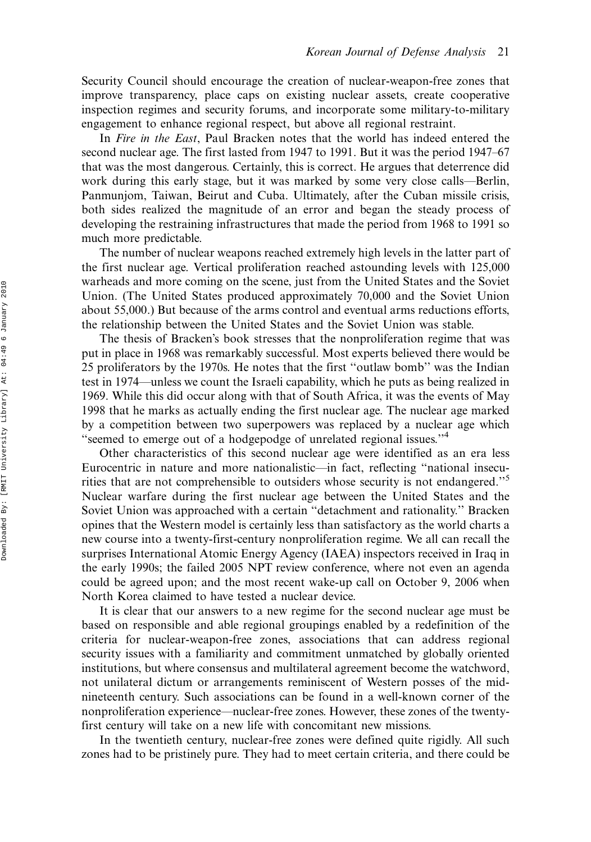Security Council should encourage the creation of nuclear-weapon-free zones that improve transparency, place caps on existing nuclear assets, create cooperative inspection regimes and security forums, and incorporate some military-to-military engagement to enhance regional respect, but above all regional restraint.

In *Fire in the East*, Paul Bracken notes that the world has indeed entered the second nuclear age. The first lasted from  $1947$  to 1991. But it was the period  $1947-67$ that was the most dangerous. Certainly, this is correct. He argues that deterrence did work during this early stage, but it was marked by some very close calls—Berlin, Panmunjom, Taiwan, Beirut and Cuba. Ultimately, after the Cuban missile crisis, both sides realized the magnitude of an error and began the steady process of developing the restraining infrastructures that made the period from 1968 to 1991 so much more predictable.

The number of nuclear weapons reached extremely high levels in the latter part of the first nuclear age. Vertical proliferation reached astounding levels with 125,000 warheads and more coming on the scene, just from the United States and the Soviet Union. (The United States produced approximately 70,000 and the Soviet Union about 55,000.) But because of the arms control and eventual arms reductions efforts, the relationship between the United States and the Soviet Union was stable.

The thesis of Bracken's book stresses that the nonproliferation regime that was put in place in 1968 was remarkably successful. Most experts believed there would be 25 proliferators by the 1970s. He notes that the first ''outlaw bomb'' was the Indian test in 1974—unless we count the Israeli capability, which he puts as being realized in 1969. While this did occur along with that of South Africa, it was the events of May 1998 that he marks as actually ending the first nuclear age. The nuclear age marked by a competition between two superpowers was replaced by a nuclear age which "seemed to emerge out of a hodgepodge of unrelated regional issues."<sup>4</sup>

Other characteristics of this second nuclear age were identified as an era less Eurocentric in nature and more nationalistic—in fact, reflecting "national insecurities that are not comprehensible to outsiders whose security is not endangered.''5 Nuclear warfare during the first nuclear age between the United States and the Soviet Union was approached with a certain ''detachment and rationality.'' Bracken opines that the Western model is certainly less than satisfactory as the world charts a new course into a twenty-first-century nonproliferation regime. We all can recall the surprises International Atomic Energy Agency (IAEA) inspectors received in Iraq in the early 1990s; the failed 2005 NPT review conference, where not even an agenda could be agreed upon; and the most recent wake-up call on October 9, 2006 when North Korea claimed to have tested a nuclear device.

It is clear that our answers to a new regime for the second nuclear age must be based on responsible and able regional groupings enabled by a redefinition of the criteria for nuclear-weapon-free zones, associations that can address regional security issues with a familiarity and commitment unmatched by globally oriented institutions, but where consensus and multilateral agreement become the watchword, not unilateral dictum or arrangements reminiscent of Western posses of the midnineteenth century. Such associations can be found in a well-known corner of the nonproliferation experience—nuclear-free zones. However, these zones of the twentyfirst century will take on a new life with concomitant new missions.

In the twentieth century, nuclear-free zones were defined quite rigidly. All such zones had to be pristinely pure. They had to meet certain criteria, and there could be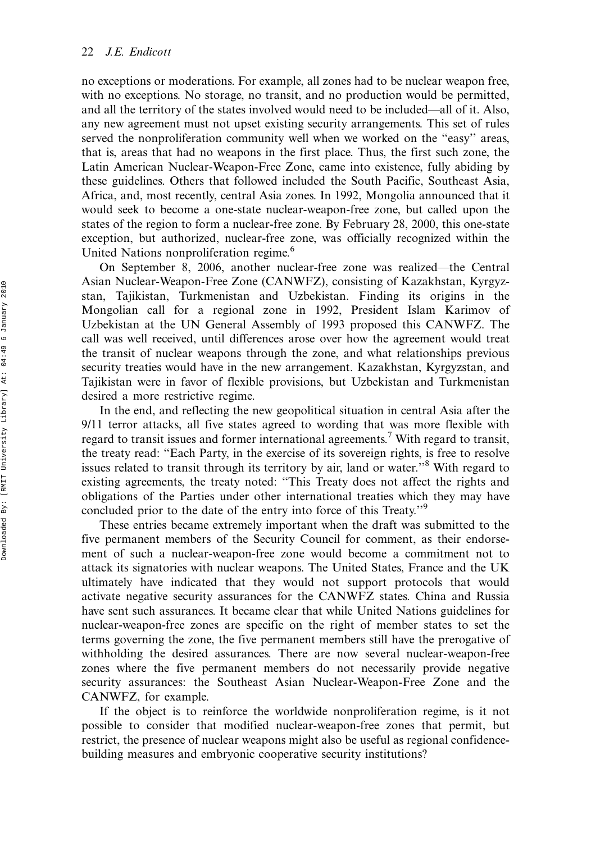no exceptions or moderations. For example, all zones had to be nuclear weapon free, with no exceptions. No storage, no transit, and no production would be permitted, and all the territory of the states involved would need to be included\*all of it. Also, any new agreement must not upset existing security arrangements. This set of rules served the nonproliferation community well when we worked on the ''easy'' areas, that is, areas that had no weapons in the first place. Thus, the first such zone, the Latin American Nuclear-Weapon-Free Zone, came into existence, fully abiding by these guidelines. Others that followed included the South Pacific, Southeast Asia, Africa, and, most recently, central Asia zones. In 1992, Mongolia announced that it would seek to become a one-state nuclear-weapon-free zone, but called upon the states of the region to form a nuclear-free zone. By February 28, 2000, this one-state exception, but authorized, nuclear-free zone, was officially recognized within the United Nations nonproliferation regime.<sup>6</sup>

On September 8, 2006, another nuclear-free zone was realized\*the Central Asian Nuclear-Weapon-Free Zone (CANWFZ), consisting of Kazakhstan, Kyrgyzstan, Tajikistan, Turkmenistan and Uzbekistan. Finding its origins in the Mongolian call for a regional zone in 1992, President Islam Karimov of Uzbekistan at the UN General Assembly of 1993 proposed this CANWFZ. The call was well received, until differences arose over how the agreement would treat the transit of nuclear weapons through the zone, and what relationships previous security treaties would have in the new arrangement. Kazakhstan, Kyrgyzstan, and Tajikistan were in favor of flexible provisions, but Uzbekistan and Turkmenistan desired a more restrictive regime.

In the end, and reflecting the new geopolitical situation in central Asia after the 9/11 terror attacks, all five states agreed to wording that was more flexible with regard to transit issues and former international agreements.7 With regard to transit, the treaty read: ''Each Party, in the exercise of its sovereign rights, is free to resolve issues related to transit through its territory by air, land or water.''<sup>8</sup> With regard to existing agreements, the treaty noted: ''This Treaty does not affect the rights and obligations of the Parties under other international treaties which they may have concluded prior to the date of the entry into force of this Treaty.''<sup>9</sup>

These entries became extremely important when the draft was submitted to the five permanent members of the Security Council for comment, as their endorsement of such a nuclear-weapon-free zone would become a commitment not to attack its signatories with nuclear weapons. The United States, France and the UK ultimately have indicated that they would not support protocols that would activate negative security assurances for the CANWFZ states. China and Russia have sent such assurances. It became clear that while United Nations guidelines for nuclear-weapon-free zones are specific on the right of member states to set the terms governing the zone, the five permanent members still have the prerogative of withholding the desired assurances. There are now several nuclear-weapon-free zones where the five permanent members do not necessarily provide negative security assurances: the Southeast Asian Nuclear-Weapon-Free Zone and the CANWFZ, for example.

If the object is to reinforce the worldwide nonproliferation regime, is it not possible to consider that modified nuclear-weapon-free zones that permit, but restrict, the presence of nuclear weapons might also be useful as regional confidencebuilding measures and embryonic cooperative security institutions?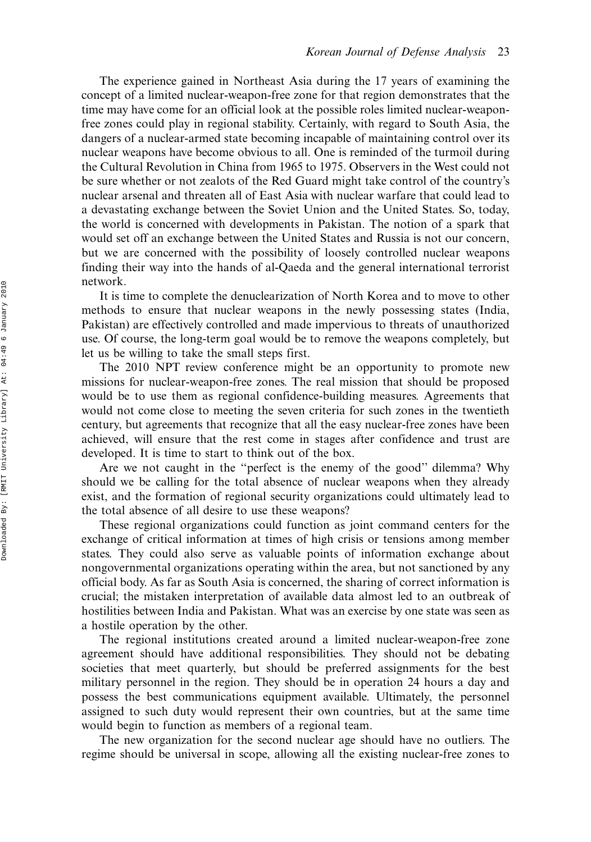The experience gained in Northeast Asia during the 17 years of examining the concept of a limited nuclear-weapon-free zone for that region demonstrates that the time may have come for an official look at the possible roles limited nuclear-weaponfree zones could play in regional stability. Certainly, with regard to South Asia, the dangers of a nuclear-armed state becoming incapable of maintaining control over its nuclear weapons have become obvious to all. One is reminded of the turmoil during the Cultural Revolution in China from 1965 to 1975. Observers in the West could not be sure whether or not zealots of the Red Guard might take control of the country's nuclear arsenal and threaten all of East Asia with nuclear warfare that could lead to a devastating exchange between the Soviet Union and the United States. So, today, the world is concerned with developments in Pakistan. The notion of a spark that would set off an exchange between the United States and Russia is not our concern, but we are concerned with the possibility of loosely controlled nuclear weapons finding their way into the hands of al-Qaeda and the general international terrorist network.

It is time to complete the denuclearization of North Korea and to move to other methods to ensure that nuclear weapons in the newly possessing states (India, Pakistan) are effectively controlled and made impervious to threats of unauthorized use. Of course, the long-term goal would be to remove the weapons completely, but let us be willing to take the small steps first.

The 2010 NPT review conference might be an opportunity to promote new missions for nuclear-weapon-free zones. The real mission that should be proposed would be to use them as regional confidence-building measures. Agreements that would not come close to meeting the seven criteria for such zones in the twentieth century, but agreements that recognize that all the easy nuclear-free zones have been achieved, will ensure that the rest come in stages after confidence and trust are developed. It is time to start to think out of the box.

Are we not caught in the ''perfect is the enemy of the good'' dilemma? Why should we be calling for the total absence of nuclear weapons when they already exist, and the formation of regional security organizations could ultimately lead to the total absence of all desire to use these weapons?

These regional organizations could function as joint command centers for the exchange of critical information at times of high crisis or tensions among member states. They could also serve as valuable points of information exchange about nongovernmental organizations operating within the area, but not sanctioned by any official body. As far as South Asia is concerned, the sharing of correct information is crucial; the mistaken interpretation of available data almost led to an outbreak of hostilities between India and Pakistan. What was an exercise by one state was seen as a hostile operation by the other.

The regional institutions created around a limited nuclear-weapon-free zone agreement should have additional responsibilities. They should not be debating societies that meet quarterly, but should be preferred assignments for the best military personnel in the region. They should be in operation 24 hours a day and possess the best communications equipment available. Ultimately, the personnel assigned to such duty would represent their own countries, but at the same time would begin to function as members of a regional team.

The new organization for the second nuclear age should have no outliers. The regime should be universal in scope, allowing all the existing nuclear-free zones to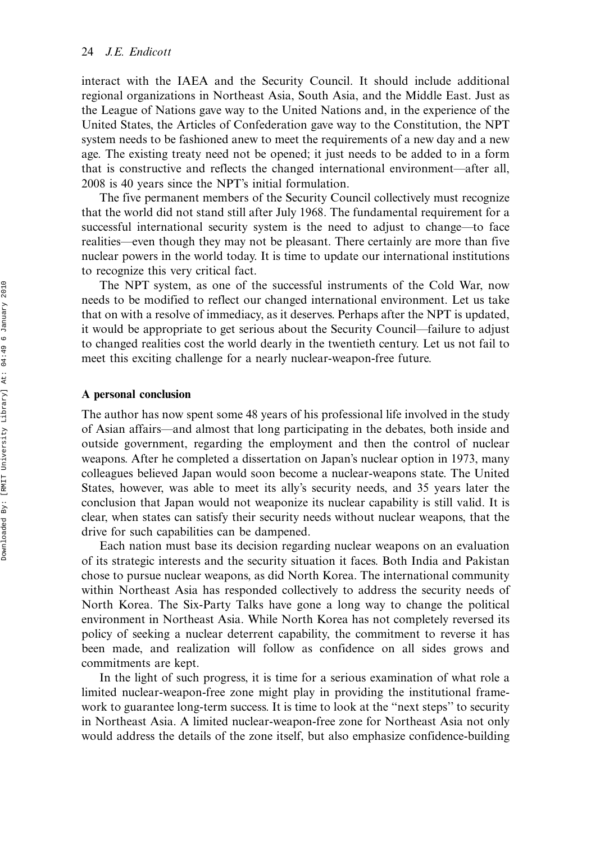interact with the IAEA and the Security Council. It should include additional regional organizations in Northeast Asia, South Asia, and the Middle East. Just as the League of Nations gave way to the United Nations and, in the experience of the United States, the Articles of Confederation gave way to the Constitution, the NPT system needs to be fashioned anew to meet the requirements of a new day and a new age. The existing treaty need not be opened; it just needs to be added to in a form that is constructive and reflects the changed international environment—after all, 2008 is 40 years since the NPT's initial formulation.

The five permanent members of the Security Council collectively must recognize that the world did not stand still after July 1968. The fundamental requirement for a successful international security system is the need to adjust to change—to face realities—even though they may not be pleasant. There certainly are more than five nuclear powers in the world today. It is time to update our international institutions to recognize this very critical fact.

The NPT system, as one of the successful instruments of the Cold War, now needs to be modified to reflect our changed international environment. Let us take that on with a resolve of immediacy, as it deserves. Perhaps after the NPT is updated, it would be appropriate to get serious about the Security Council—failure to adjust to changed realities cost the world dearly in the twentieth century. Let us not fail to meet this exciting challenge for a nearly nuclear-weapon-free future.

#### A personal conclusion

The author has now spent some 48 years of his professional life involved in the study of Asian affairs—and almost that long participating in the debates, both inside and outside government, regarding the employment and then the control of nuclear weapons. After he completed a dissertation on Japan's nuclear option in 1973, many colleagues believed Japan would soon become a nuclear-weapons state. The United States, however, was able to meet its ally's security needs, and 35 years later the conclusion that Japan would not weaponize its nuclear capability is still valid. It is clear, when states can satisfy their security needs without nuclear weapons, that the drive for such capabilities can be dampened.

Each nation must base its decision regarding nuclear weapons on an evaluation of its strategic interests and the security situation it faces. Both India and Pakistan chose to pursue nuclear weapons, as did North Korea. The international community within Northeast Asia has responded collectively to address the security needs of North Korea. The Six-Party Talks have gone a long way to change the political environment in Northeast Asia. While North Korea has not completely reversed its policy of seeking a nuclear deterrent capability, the commitment to reverse it has been made, and realization will follow as confidence on all sides grows and commitments are kept.

In the light of such progress, it is time for a serious examination of what role a limited nuclear-weapon-free zone might play in providing the institutional framework to guarantee long-term success. It is time to look at the "next steps" to security in Northeast Asia. A limited nuclear-weapon-free zone for Northeast Asia not only would address the details of the zone itself, but also emphasize confidence-building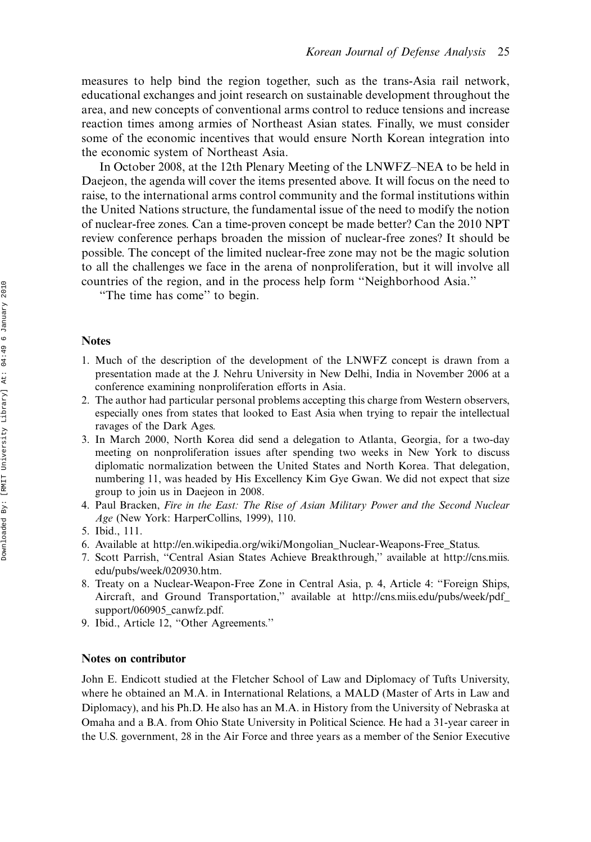measures to help bind the region together, such as the trans-Asia rail network, educational exchanges and joint research on sustainable development throughout the area, and new concepts of conventional arms control to reduce tensions and increase reaction times among armies of Northeast Asian states. Finally, we must consider some of the economic incentives that would ensure North Korean integration into the economic system of Northeast Asia.

In October 2008, at the 12th Plenary Meeting of the LNWFZ–NEA to be held in Daejeon, the agenda will cover the items presented above. It will focus on the need to raise, to the international arms control community and the formal institutions within the United Nations structure, the fundamental issue of the need to modify the notion of nuclear-free zones. Can a time-proven concept be made better? Can the 2010 NPT review conference perhaps broaden the mission of nuclear-free zones? It should be possible. The concept of the limited nuclear-free zone may not be the magic solution to all the challenges we face in the arena of nonproliferation, but it will involve all countries of the region, and in the process help form ''Neighborhood Asia.''

''The time has come'' to begin.

#### Notes

- 1. Much of the description of the development of the LNWFZ concept is drawn from a presentation made at the J. Nehru University in New Delhi, India in November 2006 at a conference examining nonproliferation efforts in Asia.
- 2. The author had particular personal problems accepting this charge from Western observers, especially ones from states that looked to East Asia when trying to repair the intellectual ravages of the Dark Ages.
- 3. In March 2000, North Korea did send a delegation to Atlanta, Georgia, for a two-day meeting on nonproliferation issues after spending two weeks in New York to discuss diplomatic normalization between the United States and North Korea. That delegation, numbering 11, was headed by His Excellency Kim Gye Gwan. We did not expect that size group to join us in Daejeon in 2008.
- 4. Paul Bracken, Fire in the East: The Rise of Asian Military Power and the Second Nuclear Age (New York: HarperCollins, 1999), 110.
- 5. Ibid., 111.
- 6. Available at http://en.wikipedia.org/wiki/Mongolian\_Nuclear-Weapons-Free\_Status.
- 7. Scott Parrish, ''Central Asian States Achieve Breakthrough,'' available at http://cns.miis. edu/pubs/week/020930.htm.
- 8. Treaty on a Nuclear-Weapon-Free Zone in Central Asia, p. 4, Article 4: ''Foreign Ships, Aircraft, and Ground Transportation,'' available at http://cns.miis.edu/pubs/week/pdf\_ support/060905\_canwfz.pdf.
- 9. Ibid., Article 12, ''Other Agreements.''

#### Notes on contributor

John E. Endicott studied at the Fletcher School of Law and Diplomacy of Tufts University, where he obtained an M.A. in International Relations, a MALD (Master of Arts in Law and Diplomacy), and his Ph.D. He also has an M.A. in History from the University of Nebraska at Omaha and a B.A. from Ohio State University in Political Science. He had a 31-year career in the U.S. government, 28 in the Air Force and three years as a member of the Senior Executive